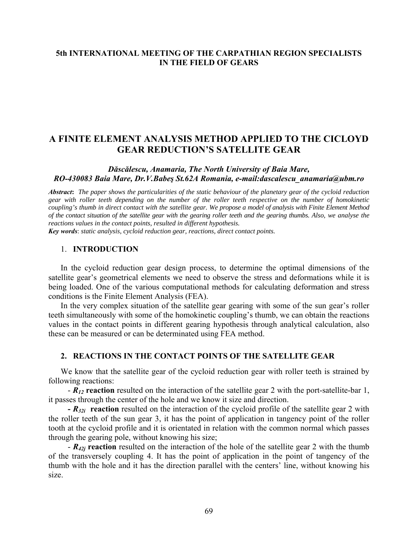## **5th INTERNATIONAL MEETING OF THE CARPATHIAN REGION SPECIALISTS IN THE FIELD OF GEARS**

# **A FINITE ELEMENT ANALYSIS METHOD APPLIED TO THE CICLOYD GEAR REDUCTION'S SATELLITE GEAR**

## *Dăscălescu, Anamaria, The North University of Baia Mare, RO-430083 Baia Mare, Dr.V.Babeş St.62A Romania, e-mail:dascalescu\_anamaria@ubm.ro*

*Abstract***:** *The paper shows the particularities of the static behaviour of the planetary gear of the cycloid reduction gear with roller teeth depending on the number of the roller teeth respective on the number of homokinetic coupling's thumb in direct contact with the satellite gear. We propose a model of analysis with Finite Element Method of the contact situation of the satellite gear with the gearing roller teeth and the gearing thumbs. Also, we analyse the reactions values in the contact points, resulted in different hypothesis.* 

*Key words*: *static analysis, cycloid reduction gear, reactions, direct contact points.* 

### 1. **INTRODUCTION**

In the cycloid reduction gear design process, to determine the optimal dimensions of the satellite gear's geometrical elements we need to observe the stress and deformations while it is being loaded. One of the various computational methods for calculating deformation and stress conditions is the Finite Element Analysis (FEA).

In the very complex situation of the satellite gear gearing with some of the sun gear's roller teeth simultaneously with some of the homokinetic coupling's thumb, we can obtain the reactions values in the contact points in different gearing hypothesis through analytical calculation, also these can be measured or can be determinated using FEA method.

### **2. REACTIONS IN THE CONTACT POINTS OF THE SATELLITE GEAR**

We know that the satellite gear of the cycloid reduction gear with roller teeth is strained by following reactions:

- *R12* **reaction** resulted on the interaction of the satellite gear 2 with the port-satellite-bar 1, it passes through the center of the hole and we know it size and direction.

**-** *R32i* **reaction** resulted on the interaction of the cycloid profile of the satellite gear 2 with the roller teeth of the sun gear 3, it has the point of application in tangency point of the roller tooth at the cycloid profile and it is orientated in relation with the common normal which passes through the gearing pole, without knowing his size;

- *R42j* **reaction** resulted on the interaction of the hole of the satellite gear 2 with the thumb of the transversely coupling 4. It has the point of application in the point of tangency of the thumb with the hole and it has the direction parallel with the centers' line, without knowing his size.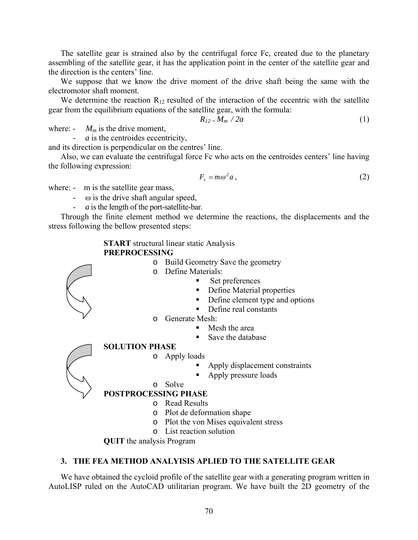The satellite gear is strained also by the centrifugal force Fc, created due to the planetary assembling of the satellite gear, it has the application point in the center of the satellite gear and the direction is the centers' line.

We suppose that we know the drive moment of the drive shaft being the same with the electromotor shaft moment.

We determine the reaction  $R_{12}$  resulted of the interaction of the eccentric with the satellite gear from the equilibrium equations of the satellite gear, with the formula:

$$
R_{12}=M_m/2a \qquad \qquad (1)
$$

where:  $\sim M_m$  is the drive moment,

- *a* is the centroides eccentricity,

and its direction is perpendicular on the centres' line.

Also, we can evaluate the centrifugal force Fc who acts on the centroides centers' line having the following expression:

$$
F_c = m\omega^2 a \,,\tag{2}
$$

where: - m is the satellite gear mass,

- $-\omega$  is the drive shaft angular speed,
- *a* is the length of the port-satellite-bar.

Through the finite element method we determine the reactions, the displacements and the stress following the bellow presented steps:

> **START** structural linear static Analysis **PREPROCESSING**

- o Build Geometry Save the geometry
- o Define Materials:
	- Set preferences
	- Define Material properties
	- Define element type and options
	- Define real constants
- o Generate Mesh:
	- Mesh the area
	- Save the database



- o Apply loads
	- Apply displacement constraints
	- Apply pressure loads
- o Solve

## **POSTPROCESSING PHASE**

- o Read Results
- o Plot de deformation shape
- o Plot the von Mises equivalent stress
- o List reaction solution

**QUIT** the analysis Program

### **3. THE FEA METHOD ANALYISIS APLIED TO THE SATELLITE GEAR**

We have obtained the cycloid profile of the satellite gear with a generating program written in AutoLISP ruled on the AutoCAD utilitarian program. We have built the 2D geometry of the



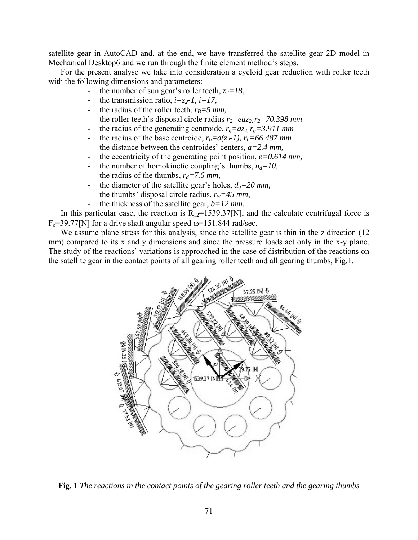satellite gear in AutoCAD and, at the end, we have transferred the satellite gear 2D model in Mechanical Desktop6 and we run through the finite element method's steps.

For the present analyse we take into consideration a cycloid gear reduction with roller teeth with the following dimensions and parameters:

- the number of sun gear's roller teeth,  $z_2 = 18$ ,
- the transmission ratio,  $i=z_2-1$ ,  $i=17$ ,
- the radius of the roller teeth,  $r_B = 5$  mm,
- the roller teeth's disposal circle radius  $r_2 = eaz_2$ ,  $r_2 = 70.398$  mm
- the radius of the generating centroide,  $r_g = az_2$ ,  $r_g = 3.911$  mm
- the radius of the base centroide,  $r_b = a(z_2-1)$ ,  $r_b = 66.487$  mm
- the distance between the centroides' centers,  $a=2.4$  mm,
- the eccentricity of the generating point position,  $e=0.614$  mm,
- the number of homokinetic coupling's thumbs,  $n_d=10$ ,
- the radius of the thumbs,  $r_d = 7.6$  mm,
- the diameter of the satellite gear's holes,  $d_g = 20$  mm,
- the thumbs' disposal circle radius,  $r_w = 45$  mm,
- the thickness of the satellite gear, *b=12 mm.*

In this particular case, the reaction is  $R_{12}=1539.37[N]$ , and the calculate centrifugal force is  $F_c$ =39.77[N] for a drive shaft angular speed  $\omega$ =151.844 rad/sec.

We assume plane stress for this analysis, since the satellite gear is thin in the z direction (12) mm) compared to its x and y dimensions and since the pressure loads act only in the x-y plane. The study of the reactions' variations is approached in the case of distribution of the reactions on the satellite gear in the contact points of all gearing roller teeth and all gearing thumbs, Fig.1.



**Fig. 1** *The reactions in the contact points of the gearing roller teeth and the gearing thumbs*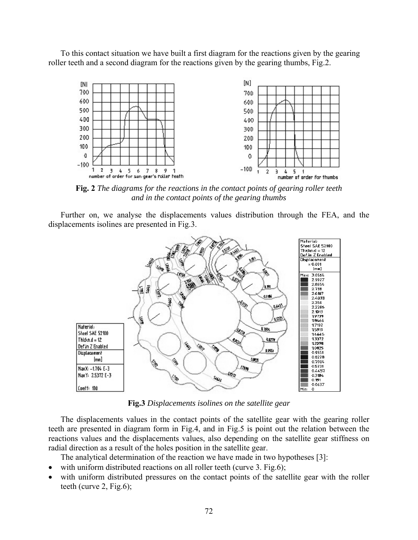To this contact situation we have built a first diagram for the reactions given by the gearing roller teeth and a second diagram for the reactions given by the gearing thumbs, Fig.2.



*and in the contact points of the gearing thumbs*

Further on, we analyse the displacements values distribution through the FEA, and the displacements isolines are presented in Fig.3.



**Fig.3** *Displacements isolines on the satellite gear*

The displacements values in the contact points of the satellite gear with the gearing roller teeth are presented in diagram form in Fig.4, and in Fig.5 is point out the relation between the reactions values and the displacements values, also depending on the satellite gear stiffness on radial direction as a result of the holes position in the satellite gear.

The analytical determination of the reaction we have made in two hypotheses [3]:

- with uniform distributed reactions on all roller teeth (curve 3. Fig.6);
- with uniform distributed pressures on the contact points of the satellite gear with the roller teeth (curve 2, Fig.6);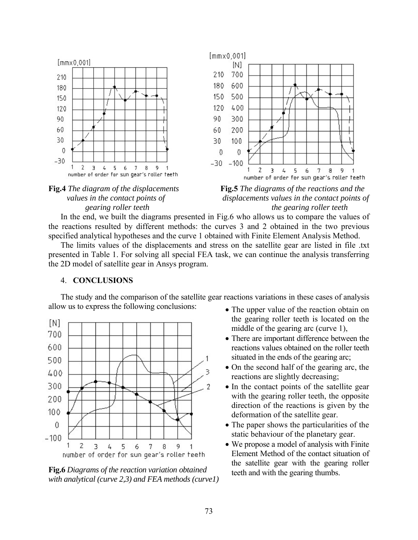



 *values in the contact points of displacements values in the contact points of gearing roller teeth the gearing roller teeth* 

In the end, we built the diagrams presented in Fig.6 who allows us to compare the values of the reactions resulted by different methods: the curves 3 and 2 obtained in the two previous specified analytical hypotheses and the curve 1 obtained with Finite Element Analysis Method.

The limits values of the displacements and stress on the satellite gear are listed in file .txt presented in Table 1. For solving all special FEA task, we can continue the analysis transferring the 2D model of satellite gear in Ansys program.

#### 4. **CONCLUSIONS**

The study and the comparison of the satellite gear reactions variations in these cases of analysis allow us to express the following conclusions:



**Fig.6** *Diagrams of the reaction variation obtained with analytical (curve 2,3) and FEA methods (curve1)*

- The upper value of the reaction obtain on the gearing roller teeth is located on the middle of the gearing arc (curve 1),
- There are important difference between the reactions values obtained on the roller teeth situated in the ends of the gearing arc;
- On the second half of the gearing arc, the reactions are slightly decreasing;
- In the contact points of the satellite gear with the gearing roller teeth, the opposite direction of the reactions is given by the deformation of the satellite gear.
- The paper shows the particularities of the static behaviour of the planetary gear.
- We propose a model of analysis with Finite Element Method of the contact situation of the satellite gear with the gearing roller teeth and with the gearing thumbs.